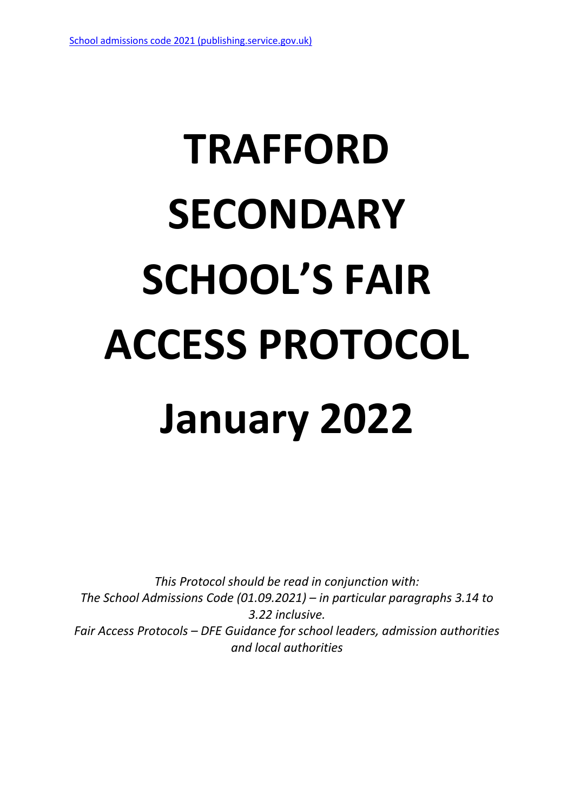# **TRAFFORD SECONDARY SCHOOL'S FAIR ACCESS PROTOCOL January 2022**

*This Protocol should be read in conjunction with: The School Admissions Code (01.09.2021) – in particular paragraphs 3.14 to 3.22 inclusive. Fair Access Protocols – DFE Guidance for school leaders, admission authorities and local authorities*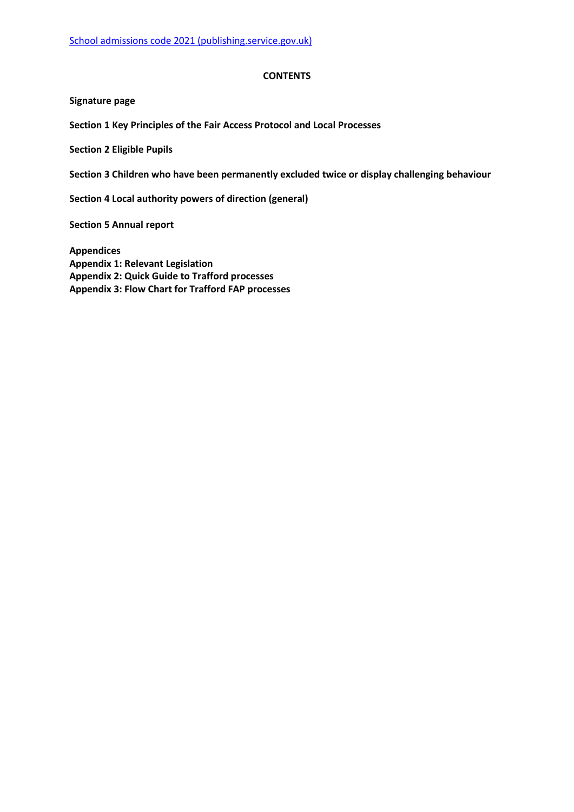#### **CONTENTS**

**Signature page**

**Section 1 Key Principles of the Fair Access Protocol and Local Processes**

**Section 2 Eligible Pupils**

**Section 3 Children who have been permanently excluded twice or display challenging behaviour**

**Section 4 Local authority powers of direction (general)**

**Section 5 Annual report**

**Appendices Appendix 1: Relevant Legislation Appendix 2: Quick Guide to Trafford processes Appendix 3: Flow Chart for Trafford FAP processes**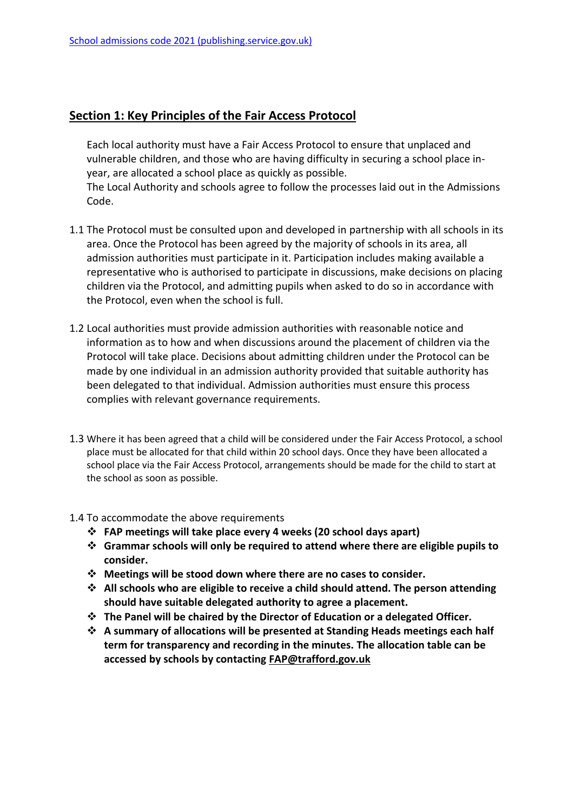Code.

## **Section 1: Key Principles of the Fair Access Protocol**

Each local authority must have a Fair Access Protocol to ensure that unplaced and vulnerable children, and those who are having difficulty in securing a school place inyear, are allocated a school place as quickly as possible. The Local Authority and schools agree to follow the processes laid out in the Admissions

1.1 The Protocol must be consulted upon and developed in partnership with all schools in its area. Once the Protocol has been agreed by the majority of schools in its area, all admission authorities must participate in it. Participation includes making available a representative who is authorised to participate in discussions, make decisions on placing

children via the Protocol, and admitting pupils when asked to do so in accordance with

- 1.2 Local authorities must provide admission authorities with reasonable notice and information as to how and when discussions around the placement of children via the Protocol will take place. Decisions about admitting children under the Protocol can be made by one individual in an admission authority provided that suitable authority has been delegated to that individual. Admission authorities must ensure this process complies with relevant governance requirements.
- 1.3 Where it has been agreed that a child will be considered under the Fair Access Protocol, a school place must be allocated for that child within 20 school days. Once they have been allocated a school place via the Fair Access Protocol, arrangements should be made for the child to start at the school as soon as possible.
- 1.4 To accommodate the above requirements

the Protocol, even when the school is full.

- **FAP meetings will take place every 4 weeks (20 school days apart)**
- **Grammar schools will only be required to attend where there are eligible pupils to consider.**
- **Meetings will be stood down where there are no cases to consider.**
- **All schools who are eligible to receive a child should attend. The person attending should have suitable delegated authority to agree a placement.**
- **The Panel will be chaired by the Director of Education or a delegated Officer.**
- **A summary of allocations will be presented at Standing Heads meetings each half term for transparency and recording in the minutes. The allocation table can be accessed by schools by contacting [FAP@trafford.gov.uk](mailto:FAP@trafford.gov.uk)**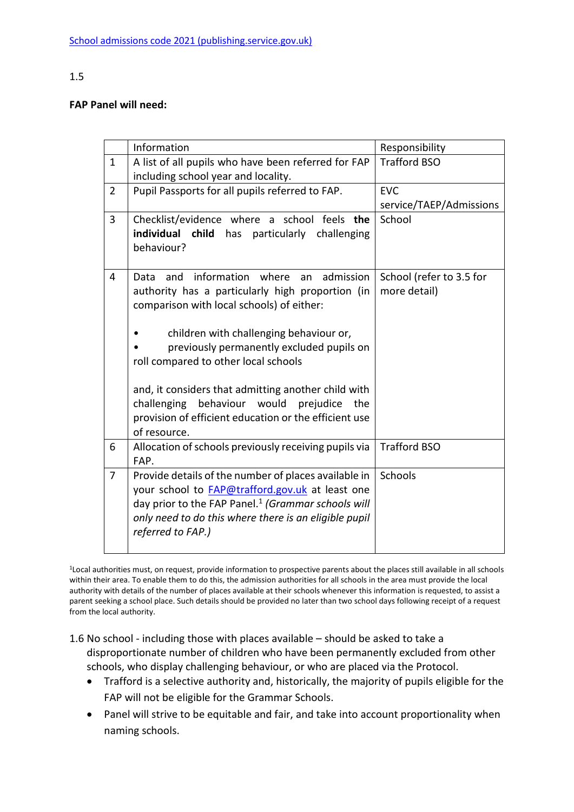## 1.5

## **FAP Panel will need:**

|                | Information                                                                                                                                                                                                                                                                                                                                                                                                                                                                | Responsibility                           |
|----------------|----------------------------------------------------------------------------------------------------------------------------------------------------------------------------------------------------------------------------------------------------------------------------------------------------------------------------------------------------------------------------------------------------------------------------------------------------------------------------|------------------------------------------|
| $\mathbf{1}$   | A list of all pupils who have been referred for FAP<br>including school year and locality.                                                                                                                                                                                                                                                                                                                                                                                 | <b>Trafford BSO</b>                      |
| $\overline{2}$ | Pupil Passports for all pupils referred to FAP.                                                                                                                                                                                                                                                                                                                                                                                                                            | <b>EVC</b><br>service/TAEP/Admissions    |
| $\overline{3}$ | Checklist/evidence where a school feels the<br>individual child has particularly challenging<br>behaviour?                                                                                                                                                                                                                                                                                                                                                                 | School                                   |
| 4              | information where<br>admission<br>and<br>Data<br>an<br>authority has a particularly high proportion (in<br>comparison with local schools) of either:<br>children with challenging behaviour or,<br>previously permanently excluded pupils on<br>roll compared to other local schools<br>and, it considers that admitting another child with<br>challenging<br>behaviour would<br>prejudice<br>the<br>provision of efficient education or the efficient use<br>of resource. | School (refer to 3.5 for<br>more detail) |
| 6              | Allocation of schools previously receiving pupils via<br>FAP.                                                                                                                                                                                                                                                                                                                                                                                                              | <b>Trafford BSO</b>                      |
| $\overline{7}$ | Provide details of the number of places available in<br>your school to <b>FAP@trafford.gov.uk</b> at least one<br>day prior to the FAP Panel. <sup>1</sup> (Grammar schools will<br>only need to do this where there is an eligible pupil<br>referred to FAP.)                                                                                                                                                                                                             | Schools                                  |

<sup>1</sup>Local authorities must, on request, provide information to prospective parents about the places still available in all schools within their area. To enable them to do this, the admission authorities for all schools in the area must provide the local authority with details of the number of places available at their schools whenever this information is requested, to assist a parent seeking a school place. Such details should be provided no later than two school days following receipt of a request from the local authority.

- 1.6 No school including those with places available should be asked to take a disproportionate number of children who have been permanently excluded from other schools, who display challenging behaviour, or who are placed via the Protocol.
	- Trafford is a selective authority and, historically, the majority of pupils eligible for the FAP will not be eligible for the Grammar Schools.
	- Panel will strive to be equitable and fair, and take into account proportionality when naming schools.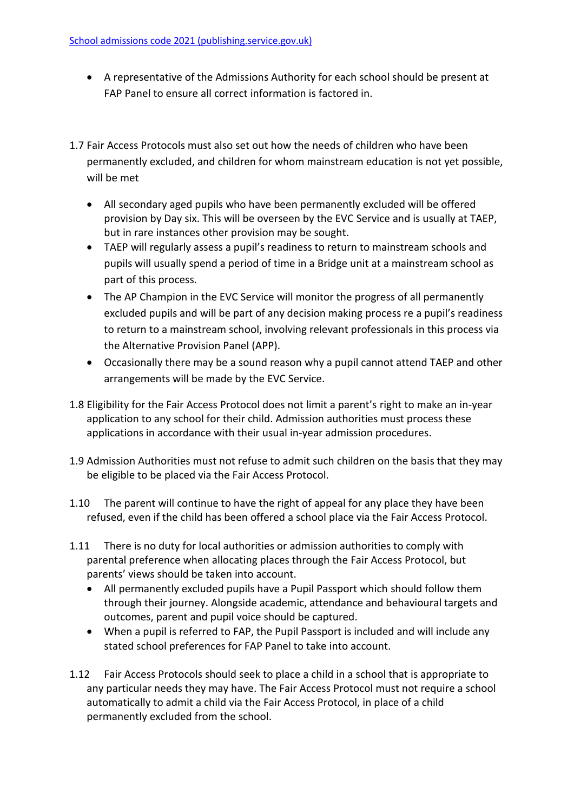- A representative of the Admissions Authority for each school should be present at FAP Panel to ensure all correct information is factored in.
- 1.7 Fair Access Protocols must also set out how the needs of children who have been permanently excluded, and children for whom mainstream education is not yet possible, will be met
	- All secondary aged pupils who have been permanently excluded will be offered provision by Day six. This will be overseen by the EVC Service and is usually at TAEP, but in rare instances other provision may be sought.
	- TAEP will regularly assess a pupil's readiness to return to mainstream schools and pupils will usually spend a period of time in a Bridge unit at a mainstream school as part of this process.
	- The AP Champion in the EVC Service will monitor the progress of all permanently excluded pupils and will be part of any decision making process re a pupil's readiness to return to a mainstream school, involving relevant professionals in this process via the Alternative Provision Panel (APP).
	- Occasionally there may be a sound reason why a pupil cannot attend TAEP and other arrangements will be made by the EVC Service.
- 1.8 Eligibility for the Fair Access Protocol does not limit a parent's right to make an in-year application to any school for their child. Admission authorities must process these applications in accordance with their usual in-year admission procedures.
- 1.9 Admission Authorities must not refuse to admit such children on the basis that they may be eligible to be placed via the Fair Access Protocol.
- 1.10 The parent will continue to have the right of appeal for any place they have been refused, even if the child has been offered a school place via the Fair Access Protocol.
- 1.11 There is no duty for local authorities or admission authorities to comply with parental preference when allocating places through the Fair Access Protocol, but parents' views should be taken into account.
	- All permanently excluded pupils have a Pupil Passport which should follow them through their journey. Alongside academic, attendance and behavioural targets and outcomes, parent and pupil voice should be captured.
	- When a pupil is referred to FAP, the Pupil Passport is included and will include any stated school preferences for FAP Panel to take into account.
- 1.12 Fair Access Protocols should seek to place a child in a school that is appropriate to any particular needs they may have. The Fair Access Protocol must not require a school automatically to admit a child via the Fair Access Protocol, in place of a child permanently excluded from the school.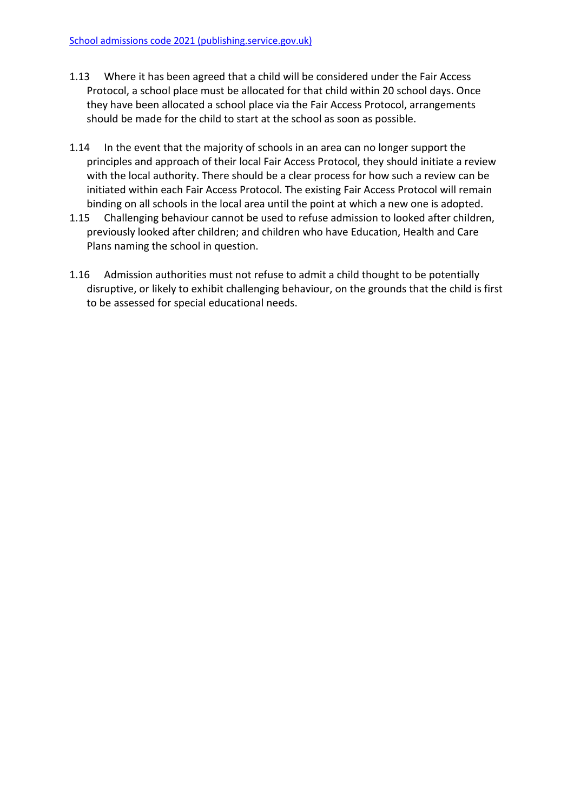- 1.13 Where it has been agreed that a child will be considered under the Fair Access Protocol, a school place must be allocated for that child within 20 school days. Once they have been allocated a school place via the Fair Access Protocol, arrangements should be made for the child to start at the school as soon as possible.
- 1.14 In the event that the majority of schools in an area can no longer support the principles and approach of their local Fair Access Protocol, they should initiate a review with the local authority. There should be a clear process for how such a review can be initiated within each Fair Access Protocol. The existing Fair Access Protocol will remain binding on all schools in the local area until the point at which a new one is adopted.
- 1.15 Challenging behaviour cannot be used to refuse admission to looked after children, previously looked after children; and children who have Education, Health and Care Plans naming the school in question.
- 1.16 Admission authorities must not refuse to admit a child thought to be potentially disruptive, or likely to exhibit challenging behaviour, on the grounds that the child is first to be assessed for special educational needs.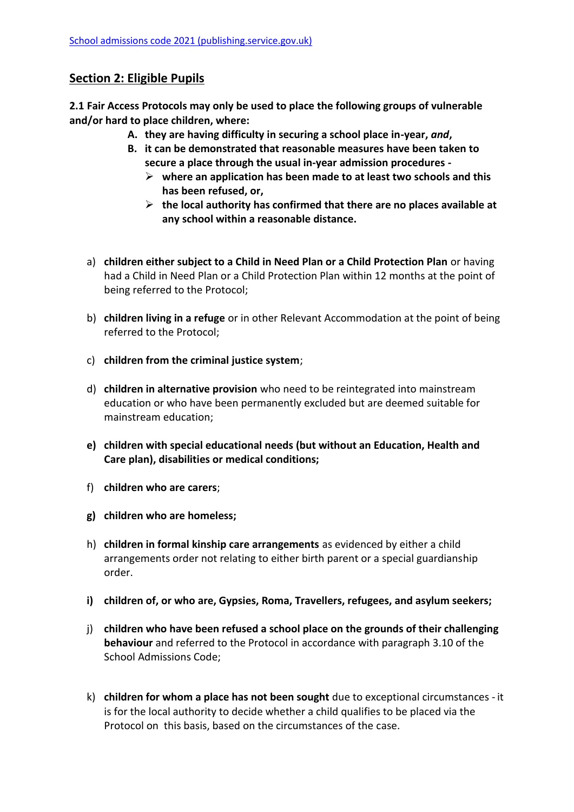# **Section 2: Eligible Pupils**

**2.1 Fair Access Protocols may only be used to place the following groups of vulnerable and/or hard to place children, where:**

- **A. they are having difficulty in securing a school place in-year,** *and***,**
- **B. it can be demonstrated that reasonable measures have been taken to secure a place through the usual in-year admission procedures** 
	- **where an application has been made to at least two schools and this has been refused, or,**
	- **the local authority has confirmed that there are no places available at any school within a reasonable distance.**
- a) **children either subject to a Child in Need Plan or a Child Protection Plan** or having had a Child in Need Plan or a Child Protection Plan within 12 months at the point of being referred to the Protocol;
- b) **children living in a refuge** or in other Relevant Accommodation at the point of being referred to the Protocol;
- c) **children from the criminal justice system**;
- d) **children in alternative provision** who need to be reintegrated into mainstream education or who have been permanently excluded but are deemed suitable for mainstream education;
- **e) children with special educational needs (but without an Education, Health and Care plan), disabilities or medical conditions;**
- f) **children who are carers**;
- **g) children who are homeless;**
- h) **children in formal kinship care arrangements** as evidenced by either a child arrangements order not relating to either birth parent or a special guardianship order.
- **i) children of, or who are, Gypsies, Roma, Travellers, refugees, and asylum seekers;**
- j) **children who have been refused a school place on the grounds of their challenging behaviour** and referred to the Protocol in accordance with paragraph 3.10 of the School Admissions Code;
- k) **children for whom a place has not been sought** due to exceptional circumstances it is for the local authority to decide whether a child qualifies to be placed via the Protocol on this basis, based on the circumstances of the case.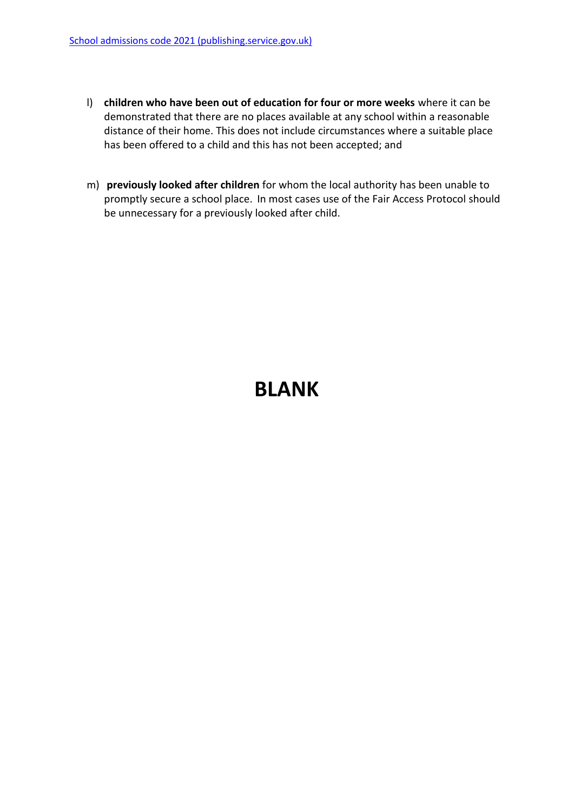- l) **children who have been out of education for four or more weeks** where it can be demonstrated that there are no places available at any school within a reasonable distance of their home. This does not include circumstances where a suitable place has been offered to a child and this has not been accepted; and
- m) **previously looked after children** for whom the local authority has been unable to promptly secure a school place. In most cases use of the Fair Access Protocol should be unnecessary for a previously looked after child.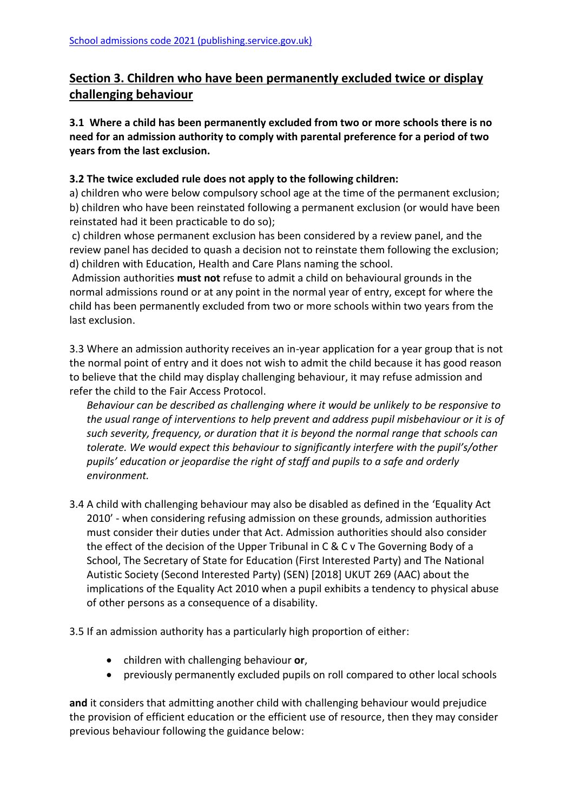# **Section 3. Children who have been permanently excluded twice or display challenging behaviour**

**3.1 Where a child has been permanently excluded from two or more schools there is no need for an admission authority to comply with parental preference for a period of two years from the last exclusion.**

## **3.2 The twice excluded rule does not apply to the following children:**

a) children who were below compulsory school age at the time of the permanent exclusion; b) children who have been reinstated following a permanent exclusion (or would have been reinstated had it been practicable to do so);

c) children whose permanent exclusion has been considered by a review panel, and the review panel has decided to quash a decision not to reinstate them following the exclusion; d) children with Education, Health and Care Plans naming the school.

Admission authorities **must not** refuse to admit a child on behavioural grounds in the normal admissions round or at any point in the normal year of entry, except for where the child has been permanently excluded from two or more schools within two years from the last exclusion.

3.3 Where an admission authority receives an in-year application for a year group that is not the normal point of entry and it does not wish to admit the child because it has good reason to believe that the child may display challenging behaviour, it may refuse admission and refer the child to the Fair Access Protocol.

*Behaviour can be described as challenging where it would be unlikely to be responsive to the usual range of interventions to help prevent and address pupil misbehaviour or it is of such severity, frequency, or duration that it is beyond the normal range that schools can tolerate. We would expect this behaviour to significantly interfere with the pupil's/other pupils' education or jeopardise the right of staff and pupils to a safe and orderly environment.*

3.4 A child with challenging behaviour may also be disabled as defined in the 'Equality Act 2010' - when considering refusing admission on these grounds, admission authorities must consider their duties under that Act. Admission authorities should also consider the effect of the decision of the Upper Tribunal in C & C v The Governing Body of a School, The Secretary of State for Education (First Interested Party) and The National Autistic Society (Second Interested Party) (SEN) [2018] UKUT 269 (AAC) about the implications of the Equality Act 2010 when a pupil exhibits a tendency to physical abuse of other persons as a consequence of a disability.

3.5 If an admission authority has a particularly high proportion of either:

- children with challenging behaviour **or**,
- previously permanently excluded pupils on roll compared to other local schools

**and** it considers that admitting another child with challenging behaviour would prejudice the provision of efficient education or the efficient use of resource, then they may consider previous behaviour following the guidance below: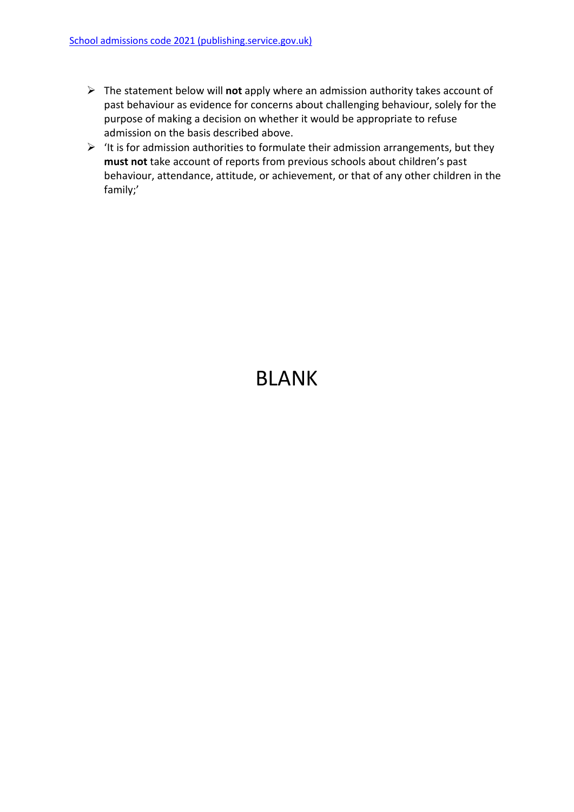- The statement below will **not** apply where an admission authority takes account of past behaviour as evidence for concerns about challenging behaviour, solely for the purpose of making a decision on whether it would be appropriate to refuse admission on the basis described above.
- $\triangleright$  'It is for admission authorities to formulate their admission arrangements, but they **must not** take account of reports from previous schools about children's past behaviour, attendance, attitude, or achievement, or that of any other children in the family;'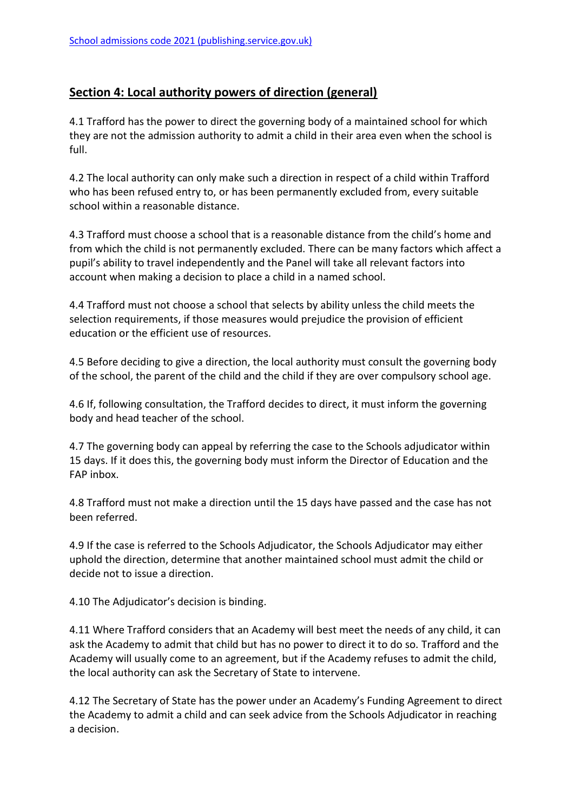# **Section 4: Local authority powers of direction (general)**

4.1 Trafford has the power to direct the governing body of a maintained school for which they are not the admission authority to admit a child in their area even when the school is full.

4.2 The local authority can only make such a direction in respect of a child within Trafford who has been refused entry to, or has been permanently excluded from, every suitable school within a reasonable distance.

4.3 Trafford must choose a school that is a reasonable distance from the child's home and from which the child is not permanently excluded. There can be many factors which affect a pupil's ability to travel independently and the Panel will take all relevant factors into account when making a decision to place a child in a named school.

4.4 Trafford must not choose a school that selects by ability unless the child meets the selection requirements, if those measures would prejudice the provision of efficient education or the efficient use of resources.

4.5 Before deciding to give a direction, the local authority must consult the governing body of the school, the parent of the child and the child if they are over compulsory school age.

4.6 If, following consultation, the Trafford decides to direct, it must inform the governing body and head teacher of the school.

4.7 The governing body can appeal by referring the case to the Schools adjudicator within 15 days. If it does this, the governing body must inform the Director of Education and the FAP inbox.

4.8 Trafford must not make a direction until the 15 days have passed and the case has not been referred.

4.9 If the case is referred to the Schools Adjudicator, the Schools Adjudicator may either uphold the direction, determine that another maintained school must admit the child or decide not to issue a direction.

4.10 The Adjudicator's decision is binding.

4.11 Where Trafford considers that an Academy will best meet the needs of any child, it can ask the Academy to admit that child but has no power to direct it to do so. Trafford and the Academy will usually come to an agreement, but if the Academy refuses to admit the child, the local authority can ask the Secretary of State to intervene.

4.12 The Secretary of State has the power under an Academy's Funding Agreement to direct the Academy to admit a child and can seek advice from the Schools Adjudicator in reaching a decision.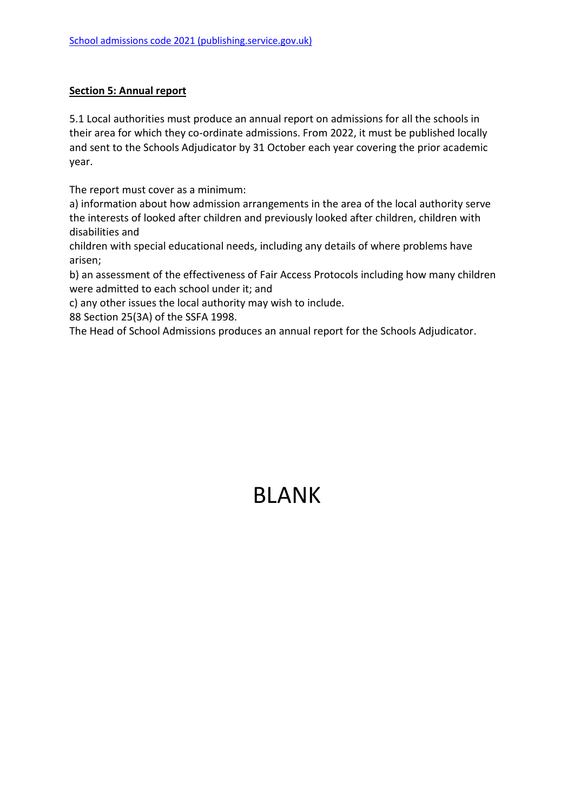#### **Section 5: Annual report**

5.1 Local authorities must produce an annual report on admissions for all the schools in their area for which they co-ordinate admissions. From 2022, it must be published locally and sent to the Schools Adjudicator by 31 October each year covering the prior academic year.

The report must cover as a minimum:

a) information about how admission arrangements in the area of the local authority serve the interests of looked after children and previously looked after children, children with disabilities and

children with special educational needs, including any details of where problems have arisen;

b) an assessment of the effectiveness of Fair Access Protocols including how many children were admitted to each school under it; and

c) any other issues the local authority may wish to include.

88 Section 25(3A) of the SSFA 1998.

The Head of School Admissions produces an annual report for the Schools Adjudicator.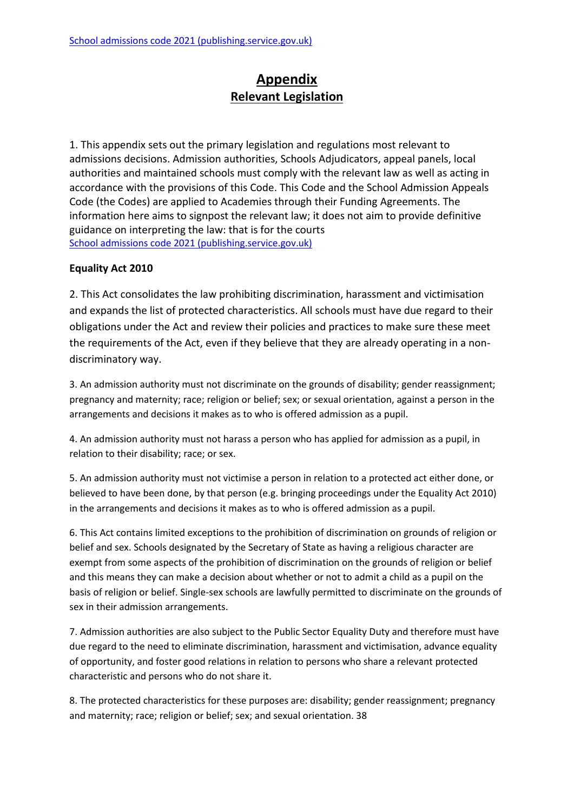# **Appendix Relevant Legislation**

1. This appendix sets out the primary legislation and regulations most relevant to admissions decisions. Admission authorities, Schools Adjudicators, appeal panels, local authorities and maintained schools must comply with the relevant law as well as acting in accordance with the provisions of this Code. This Code and the School Admission Appeals Code (the Codes) are applied to Academies through their Funding Agreements. The information here aims to signpost the relevant law; it does not aim to provide definitive guidance on interpreting the law: that is for the courts [School admissions code 2021 \(publishing.service.gov.uk\)](https://assets.publishing.service.gov.uk/government/uploads/system/uploads/attachment_data/file/1001050/School_admissions_code_2021.pdf)

## **Equality Act 2010**

2. This Act consolidates the law prohibiting discrimination, harassment and victimisation and expands the list of protected characteristics. All schools must have due regard to their obligations under the Act and review their policies and practices to make sure these meet the requirements of the Act, even if they believe that they are already operating in a nondiscriminatory way.

3. An admission authority must not discriminate on the grounds of disability; gender reassignment; pregnancy and maternity; race; religion or belief; sex; or sexual orientation, against a person in the arrangements and decisions it makes as to who is offered admission as a pupil.

4. An admission authority must not harass a person who has applied for admission as a pupil, in relation to their disability; race; or sex.

5. An admission authority must not victimise a person in relation to a protected act either done, or believed to have been done, by that person (e.g. bringing proceedings under the Equality Act 2010) in the arrangements and decisions it makes as to who is offered admission as a pupil.

6. This Act contains limited exceptions to the prohibition of discrimination on grounds of religion or belief and sex. Schools designated by the Secretary of State as having a religious character are exempt from some aspects of the prohibition of discrimination on the grounds of religion or belief and this means they can make a decision about whether or not to admit a child as a pupil on the basis of religion or belief. Single-sex schools are lawfully permitted to discriminate on the grounds of sex in their admission arrangements.

7. Admission authorities are also subject to the Public Sector Equality Duty and therefore must have due regard to the need to eliminate discrimination, harassment and victimisation, advance equality of opportunity, and foster good relations in relation to persons who share a relevant protected characteristic and persons who do not share it.

8. The protected characteristics for these purposes are: disability; gender reassignment; pregnancy and maternity; race; religion or belief; sex; and sexual orientation. 38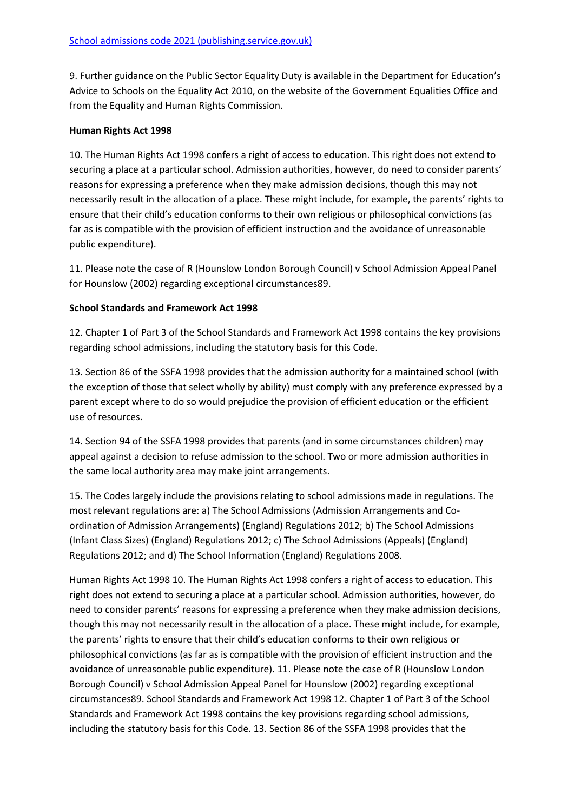9. Further guidance on the Public Sector Equality Duty is available in the Department for Education's Advice to Schools on the Equality Act 2010, on the website of the Government Equalities Office and from the Equality and Human Rights Commission.

#### **Human Rights Act 1998**

10. The Human Rights Act 1998 confers a right of access to education. This right does not extend to securing a place at a particular school. Admission authorities, however, do need to consider parents' reasons for expressing a preference when they make admission decisions, though this may not necessarily result in the allocation of a place. These might include, for example, the parents' rights to ensure that their child's education conforms to their own religious or philosophical convictions (as far as is compatible with the provision of efficient instruction and the avoidance of unreasonable public expenditure).

11. Please note the case of R (Hounslow London Borough Council) v School Admission Appeal Panel for Hounslow (2002) regarding exceptional circumstances89.

#### **School Standards and Framework Act 1998**

12. Chapter 1 of Part 3 of the School Standards and Framework Act 1998 contains the key provisions regarding school admissions, including the statutory basis for this Code.

13. Section 86 of the SSFA 1998 provides that the admission authority for a maintained school (with the exception of those that select wholly by ability) must comply with any preference expressed by a parent except where to do so would prejudice the provision of efficient education or the efficient use of resources.

14. Section 94 of the SSFA 1998 provides that parents (and in some circumstances children) may appeal against a decision to refuse admission to the school. Two or more admission authorities in the same local authority area may make joint arrangements.

15. The Codes largely include the provisions relating to school admissions made in regulations. The most relevant regulations are: a) The School Admissions (Admission Arrangements and Coordination of Admission Arrangements) (England) Regulations 2012; b) The School Admissions (Infant Class Sizes) (England) Regulations 2012; c) The School Admissions (Appeals) (England) Regulations 2012; and d) The School Information (England) Regulations 2008.

Human Rights Act 1998 10. The Human Rights Act 1998 confers a right of access to education. This right does not extend to securing a place at a particular school. Admission authorities, however, do need to consider parents' reasons for expressing a preference when they make admission decisions, though this may not necessarily result in the allocation of a place. These might include, for example, the parents' rights to ensure that their child's education conforms to their own religious or philosophical convictions (as far as is compatible with the provision of efficient instruction and the avoidance of unreasonable public expenditure). 11. Please note the case of R (Hounslow London Borough Council) v School Admission Appeal Panel for Hounslow (2002) regarding exceptional circumstances89. School Standards and Framework Act 1998 12. Chapter 1 of Part 3 of the School Standards and Framework Act 1998 contains the key provisions regarding school admissions, including the statutory basis for this Code. 13. Section 86 of the SSFA 1998 provides that the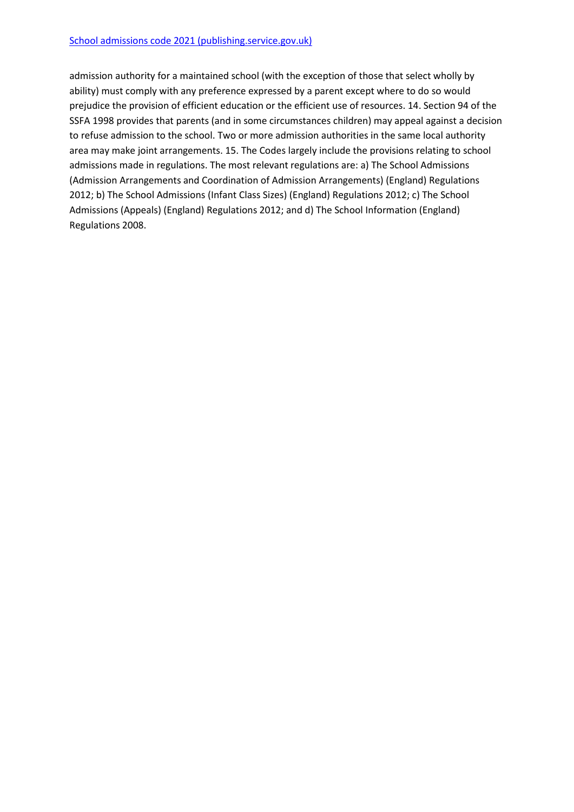admission authority for a maintained school (with the exception of those that select wholly by ability) must comply with any preference expressed by a parent except where to do so would prejudice the provision of efficient education or the efficient use of resources. 14. Section 94 of the SSFA 1998 provides that parents (and in some circumstances children) may appeal against a decision to refuse admission to the school. Two or more admission authorities in the same local authority area may make joint arrangements. 15. The Codes largely include the provisions relating to school admissions made in regulations. The most relevant regulations are: a) The School Admissions (Admission Arrangements and Coordination of Admission Arrangements) (England) Regulations 2012; b) The School Admissions (Infant Class Sizes) (England) Regulations 2012; c) The School Admissions (Appeals) (England) Regulations 2012; and d) The School Information (England) Regulations 2008.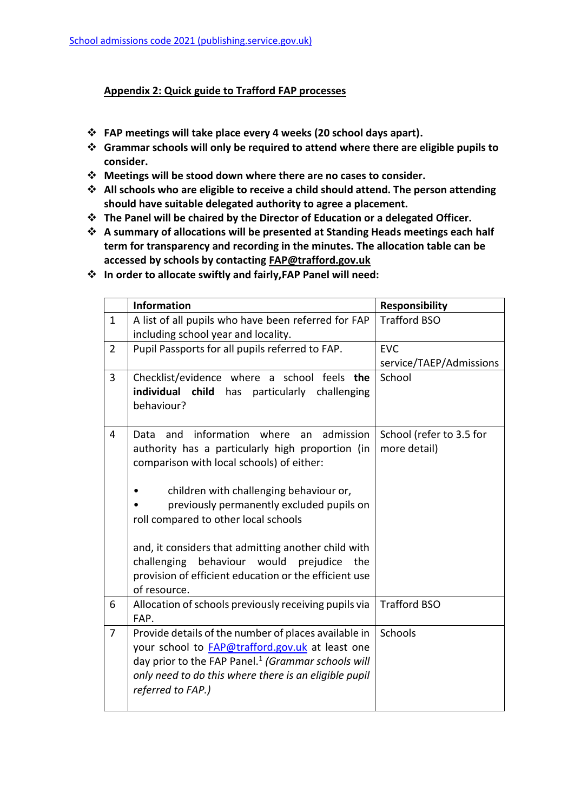#### **Appendix 2: Quick guide to Trafford FAP processes**

- **FAP meetings will take place every 4 weeks (20 school days apart).**
- **Grammar schools will only be required to attend where there are eligible pupils to consider.**
- **Meetings will be stood down where there are no cases to consider.**
- **All schools who are eligible to receive a child should attend. The person attending should have suitable delegated authority to agree a placement.**
- **The Panel will be chaired by the Director of Education or a delegated Officer.**
- **A summary of allocations will be presented at Standing Heads meetings each half term for transparency and recording in the minutes. The allocation table can be accessed by schools by contacting [FAP@trafford.gov.uk](mailto:FAP@trafford.gov.uk)**
- **In order to allocate swiftly and fairly,FAP Panel will need:**

|                | <b>Information</b>                                                                                                       | <b>Responsibility</b>                    |
|----------------|--------------------------------------------------------------------------------------------------------------------------|------------------------------------------|
| $\mathbf{1}$   | A list of all pupils who have been referred for FAP                                                                      | <b>Trafford BSO</b>                      |
|                | including school year and locality.                                                                                      |                                          |
| $\overline{2}$ | Pupil Passports for all pupils referred to FAP.                                                                          | <b>EVC</b>                               |
|                |                                                                                                                          | service/TAEP/Admissions                  |
| 3              | Checklist/evidence where a school feels the                                                                              | School                                   |
|                | individual child has<br>particularly<br>challenging                                                                      |                                          |
|                | behaviour?                                                                                                               |                                          |
|                |                                                                                                                          |                                          |
| $\overline{4}$ | information where<br>admission<br>Data<br>and<br>an<br>authority has a particularly high proportion (in                  | School (refer to 3.5 for<br>more detail) |
|                | comparison with local schools) of either:                                                                                |                                          |
|                |                                                                                                                          |                                          |
|                | children with challenging behaviour or,                                                                                  |                                          |
|                | previously permanently excluded pupils on                                                                                |                                          |
|                | roll compared to other local schools                                                                                     |                                          |
|                |                                                                                                                          |                                          |
|                | and, it considers that admitting another child with                                                                      |                                          |
|                | challenging behaviour would prejudice<br>the                                                                             |                                          |
|                | provision of efficient education or the efficient use                                                                    |                                          |
|                | of resource.                                                                                                             |                                          |
| 6              | Allocation of schools previously receiving pupils via                                                                    | <b>Trafford BSO</b>                      |
|                | FAP.                                                                                                                     |                                          |
| $\overline{7}$ | Provide details of the number of places available in                                                                     | Schools                                  |
|                | your school to <b>FAP@trafford.gov.uk</b> at least one<br>day prior to the FAP Panel. <sup>1</sup> (Grammar schools will |                                          |
|                | only need to do this where there is an eligible pupil                                                                    |                                          |
|                | referred to FAP.)                                                                                                        |                                          |
|                |                                                                                                                          |                                          |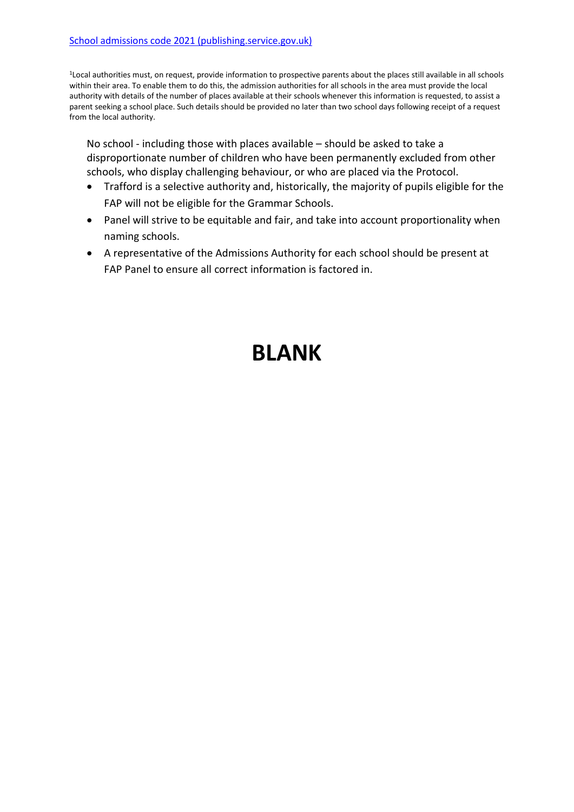<sup>1</sup>Local authorities must, on request, provide information to prospective parents about the places still available in all schools within their area. To enable them to do this, the admission authorities for all schools in the area must provide the local authority with details of the number of places available at their schools whenever this information is requested, to assist a parent seeking a school place. Such details should be provided no later than two school days following receipt of a request from the local authority.

No school - including those with places available – should be asked to take a disproportionate number of children who have been permanently excluded from other schools, who display challenging behaviour, or who are placed via the Protocol.

- Trafford is a selective authority and, historically, the majority of pupils eligible for the FAP will not be eligible for the Grammar Schools.
- Panel will strive to be equitable and fair, and take into account proportionality when naming schools.
- A representative of the Admissions Authority for each school should be present at FAP Panel to ensure all correct information is factored in.